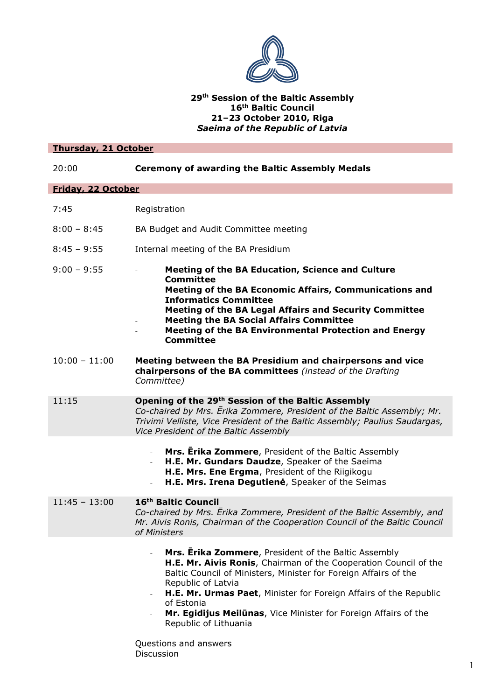

# **29th Session of the Baltic Assembly 16th Baltic Council 21–23 October 2010, Riga** *Saeima of the Republic of Latvia*

| <b>Thursday, 21 October</b> |                                                                                                                                                                                                                                                                                                                                                                                                                        |
|-----------------------------|------------------------------------------------------------------------------------------------------------------------------------------------------------------------------------------------------------------------------------------------------------------------------------------------------------------------------------------------------------------------------------------------------------------------|
| 20:00                       | <b>Ceremony of awarding the Baltic Assembly Medals</b>                                                                                                                                                                                                                                                                                                                                                                 |
| Friday, 22 October          |                                                                                                                                                                                                                                                                                                                                                                                                                        |
| 7:45                        | Registration                                                                                                                                                                                                                                                                                                                                                                                                           |
| $8:00 - 8:45$               | BA Budget and Audit Committee meeting                                                                                                                                                                                                                                                                                                                                                                                  |
| $8:45 - 9:55$               | Internal meeting of the BA Presidium                                                                                                                                                                                                                                                                                                                                                                                   |
| $9:00 - 9:55$               | Meeting of the BA Education, Science and Culture<br><b>Committee</b><br>Meeting of the BA Economic Affairs, Communications and<br><b>Informatics Committee</b><br>Meeting of the BA Legal Affairs and Security Committee<br><b>Meeting the BA Social Affairs Committee</b><br>Meeting of the BA Environmental Protection and Energy<br><b>Committee</b>                                                                |
| $10:00 - 11:00$             | Meeting between the BA Presidium and chairpersons and vice<br>chairpersons of the BA committees (instead of the Drafting<br>Committee)                                                                                                                                                                                                                                                                                 |
| 11:15                       | Opening of the 29th Session of the Baltic Assembly<br>Co-chaired by Mrs. Erika Zommere, President of the Baltic Assembly; Mr.<br>Trivimi Velliste, Vice President of the Baltic Assembly; Paulius Saudargas,<br>Vice President of the Baltic Assembly                                                                                                                                                                  |
|                             | Mrs. Erika Zommere, President of the Baltic Assembly<br>H.E. Mr. Gundars Daudze, Speaker of the Saeima<br>H.E. Mrs. Ene Ergma, President of the Riigikogu<br>H.E. Mrs. Irena Degutienė, Speaker of the Seimas                                                                                                                                                                                                          |
| $11:45 - 13:00$             | 16 <sup>th</sup> Baltic Council<br>Co-chaired by Mrs. Erika Zommere, President of the Baltic Assembly, and<br>Mr. Aivis Ronis, Chairman of the Cooperation Council of the Baltic Council<br>of Ministers                                                                                                                                                                                                               |
|                             | Mrs. Erika Zommere, President of the Baltic Assembly<br>$\blacksquare$<br>H.E. Mr. Aivis Ronis, Chairman of the Cooperation Council of the<br>$\overline{\phantom{a}}$<br>Baltic Council of Ministers, Minister for Foreign Affairs of the<br>Republic of Latvia<br>H.E. Mr. Urmas Paet, Minister for Foreign Affairs of the Republic<br>of Estonia<br>Mr. Egidijus Meilūnas, Vice Minister for Foreign Affairs of the |

Questions and answers Discussion

Republic of Lithuania